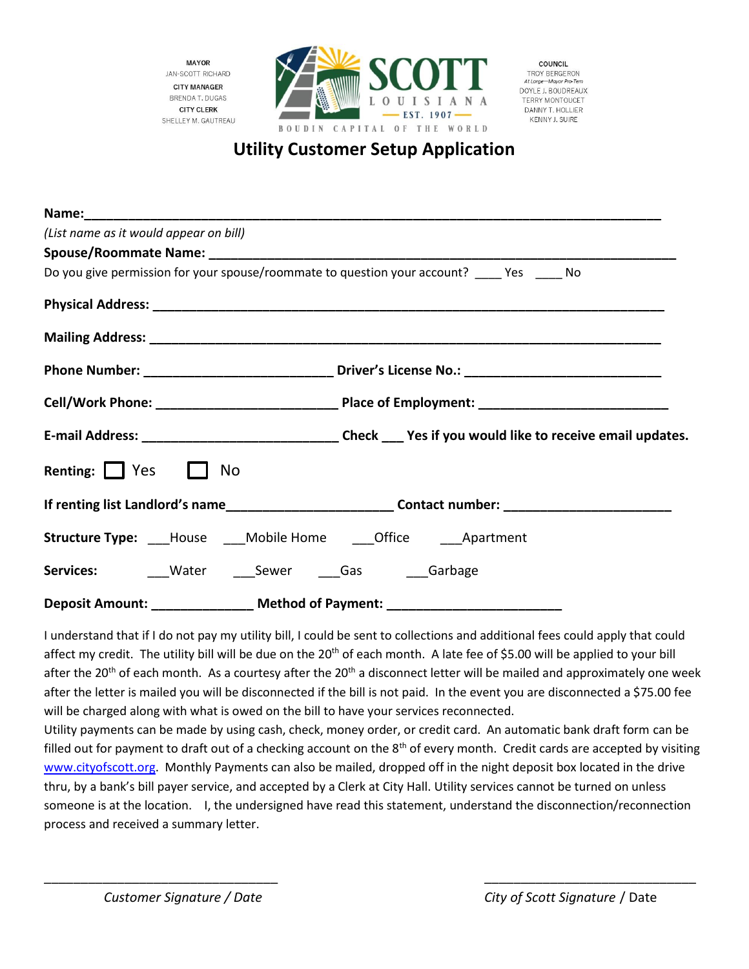**MAYOR JAN-SCOTT RICHARD CITY MANAGER BRENDA T. DUGAS CITY CLERK** SHELLEY M. GAUTREAU



COUNCIL TROY RERGERON At Large-Mayor Pro-Te DOYLE J. BOUDREAUX TERRY MONTOUCET DANNY T. HOLLIER KENNY J. SUIRE

## **Utility Customer Setup Application**

| (List name as it would appear on bill) |                                                                                                     |
|----------------------------------------|-----------------------------------------------------------------------------------------------------|
|                                        |                                                                                                     |
|                                        | Do you give permission for your spouse/roommate to question your account? ____ Yes ____ No          |
|                                        |                                                                                                     |
|                                        |                                                                                                     |
|                                        |                                                                                                     |
|                                        |                                                                                                     |
|                                        |                                                                                                     |
| Renting: $\Box$ Yes $\Box$ No          |                                                                                                     |
|                                        | If renting list Landlord's name___________________________Contact number: _________________________ |
|                                        |                                                                                                     |
|                                        |                                                                                                     |
|                                        | Deposit Amount: _______________ Method of Payment: _____________________________                    |

I understand that if I do not pay my utility bill, I could be sent to collections and additional fees could apply that could affect my credit. The utility bill will be due on the 20<sup>th</sup> of each month. A late fee of \$5.00 will be applied to your bill after the 20<sup>th</sup> of each month. As a courtesy after the 20<sup>th</sup> a disconnect letter will be mailed and approximately one week after the letter is mailed you will be disconnected if the bill is not paid. In the event you are disconnected a \$75.00 fee will be charged along with what is owed on the bill to have your services reconnected.

Utility payments can be made by using cash, check, money order, or credit card. An automatic bank draft form can be filled out for payment to draft out of a checking account on the  $8<sup>th</sup>$  of every month. Credit cards are accepted by visiting [www.cityofscott.org.](http://www.cityofscott.org/) Monthly Payments can also be mailed, dropped off in the night deposit box located in the drive thru, by a bank's bill payer service, and accepted by a Clerk at City Hall. Utility services cannot be turned on unless someone is at the location. I, the undersigned have read this statement, understand the disconnection/reconnection process and received a summary letter.

\_\_\_\_\_\_\_\_\_\_\_\_\_\_\_\_\_\_\_\_\_\_\_\_\_\_\_\_\_\_\_\_ \_\_\_\_\_\_\_\_\_\_\_\_\_\_\_\_\_\_\_\_\_\_\_\_\_\_\_\_\_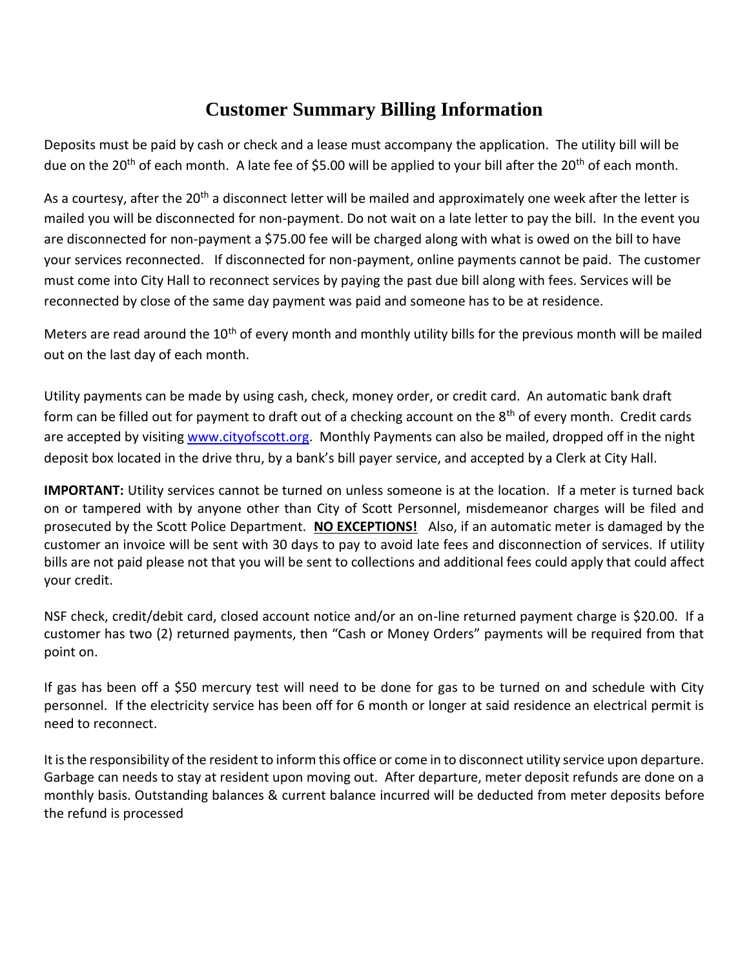## **Customer Summary Billing Information**

Deposits must be paid by cash or check and a lease must accompany the application. The utility bill will be due on the 20<sup>th</sup> of each month. A late fee of \$5.00 will be applied to your bill after the 20<sup>th</sup> of each month.

As a courtesy, after the 20<sup>th</sup> a disconnect letter will be mailed and approximately one week after the letter is mailed you will be disconnected for non-payment. Do not wait on a late letter to pay the bill. In the event you are disconnected for non-payment a \$75.00 fee will be charged along with what is owed on the bill to have your services reconnected. If disconnected for non-payment, online payments cannot be paid. The customer must come into City Hall to reconnect services by paying the past due bill along with fees. Services will be reconnected by close of the same day payment was paid and someone has to be at residence.

Meters are read around the 10<sup>th</sup> of every month and monthly utility bills for the previous month will be mailed out on the last day of each month.

Utility payments can be made by using cash, check, money order, or credit card. An automatic bank draft form can be filled out for payment to draft out of a checking account on the 8<sup>th</sup> of every month. Credit cards are accepted by visiting [www.cityofscott.org.](http://www.cityofscott.org/) Monthly Payments can also be mailed, dropped off in the night deposit box located in the drive thru, by a bank's bill payer service, and accepted by a Clerk at City Hall.

**IMPORTANT:** Utility services cannot be turned on unless someone is at the location. If a meter is turned back on or tampered with by anyone other than City of Scott Personnel, misdemeanor charges will be filed and prosecuted by the Scott Police Department. **NO EXCEPTIONS!** Also, if an automatic meter is damaged by the customer an invoice will be sent with 30 days to pay to avoid late fees and disconnection of services. If utility bills are not paid please not that you will be sent to collections and additional fees could apply that could affect your credit.

NSF check, credit/debit card, closed account notice and/or an on-line returned payment charge is \$20.00. If a customer has two (2) returned payments, then "Cash or Money Orders" payments will be required from that point on.

If gas has been off a \$50 mercury test will need to be done for gas to be turned on and schedule with City personnel. If the electricity service has been off for 6 month or longer at said residence an electrical permit is need to reconnect.

It is the responsibility of the resident to inform this office or come in to disconnect utility service upon departure. Garbage can needs to stay at resident upon moving out. After departure, meter deposit refunds are done on a monthly basis. Outstanding balances & current balance incurred will be deducted from meter deposits before the refund is processed